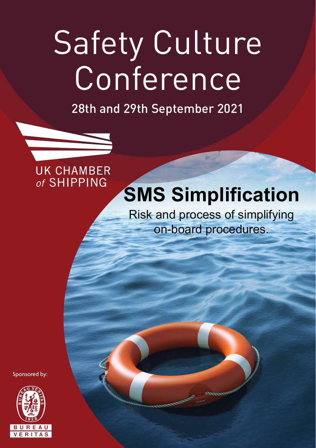# Safety Culture Conference

28th and 29th September 2021

### **UK CHAMBER** of SHIPPING

### **SMS Simplification**

Risk and process of simplifying on-board procedures.

Sponsored by:

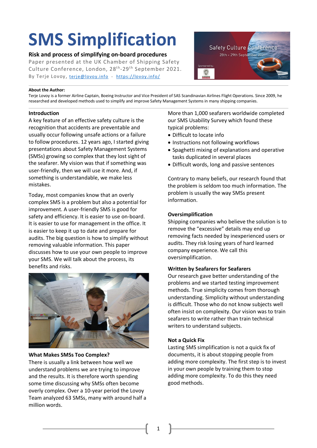## **SMS Simplification**

#### **Risk and process of simplifying on-board procedures**

Paper presented at the UK Chamber of Shipping Safety Culture Conference, London, 28<sup>th</sup>-29<sup>th</sup> September 2021. By Terje Lovoy, [terje@lovoy.info](mailto:terje@lovoy.info) - <https://lovoy.info/>



#### **About the Author:**

Terje Lovoy is a former Airline Captain, Boeing Instructor and Vice President of SAS Scandinavian Airlines Flight Operations. Since 2009, he researched and developed methods used to simplify and improve Safety Management Systems in many shipping companies.

#### **Introduction**

A key feature of an effective safety culture is the recognition that accidents are preventable and usually occur following unsafe actions or a failure to follow procedures. 12 years ago, I started giving presentations about Safety Management Systems (SMSs) growing so complex that they lost sight of the seafarer. My vision was that if something was user-friendly, then we will use it more. And, if something is understandable, we make less mistakes.

Today, most companies know that an overly complex SMS is a problem but also a potential for improvement. A user-friendly SMS is good for safety and efficiency. It is easier to use on-board. It is easier to use for management in the office. It is easier to keep it up to date and prepare for audits. The big question is how to simplify without removing valuable information. This paper discusses how to use your own people to improve your SMS. We will talk about the process, its benefits and risks.



#### **What Makes SMSs Too Complex?**

There is usually a link between how well we understand problems we are trying to improve and the results. It is therefore worth spending some time discussing why SMSs often become overly complex. Over a 10-year period the Lovoy Team analyzed 63 SMSs, many with around half a million words.

More than 1,000 seafarers worldwide completed our SMS Usability Survey which found these typical problems:

- Difficult to locate info
- Instructions not following workflows
- Spaghetti mixing of explanations and operative tasks duplicated in several places
- Difficult words, long and passive sentences

Contrary to many beliefs, our research found that the problem is seldom too much information. The problem is usually the way SMSs present information.

#### **Oversimplification**

Shipping companies who believe the solution is to remove the "excessive" details may end up removing facts needed by inexperienced users or audits. They risk losing years of hard learned company experience. We call this oversimplification.

#### **Written by Seafarers for Seafarers**

Our research gave better understanding of the problems and we started testing improvement methods. True simplicity comes from thorough understanding. Simplicity without understanding is difficult. Those who do not know subjects well often insist on complexity. Our vision was to train seafarers to write rather than train technical writers to understand subjects.

#### **Not a Quick Fix**

Lasting SMS simplification is not a quick fix of documents, it is about stopping people from adding more complexity. The first step is to invest in your own people by training them to stop adding more complexity. To do this they need good methods.

1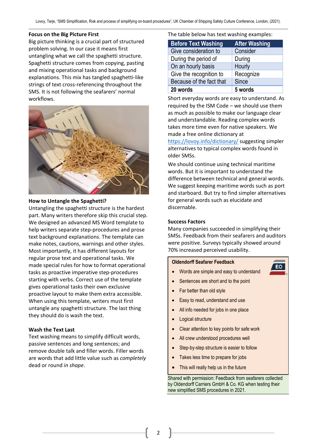#### **Focus on the Big Picture First**

Big picture thinking is a crucial part of structured problem solving. In our case it means first untangling what we call the spaghetti structure. Spaghetti structure comes from copying, pasting and mixing operational tasks and background explanations. This mix has tangled spaghetti-like strings of text cross-referencing throughout the SMS. It is not following the seafarers' normal workflows.



#### **How to Untangle the Spaghetti?**

Untangling the spaghetti structure is the hardest part. Many writers therefore skip this crucial step. We designed an advanced MS Word template to help writers separate step-procedures and prose text background explanations. The template can make notes, cautions, warnings and other styles. Most importantly, it has different layouts for regular prose text and operational tasks. We made special rules for how to format operational tasks as proactive imperative step-procedures starting with verbs. Correct use of the template gives operational tasks their own exclusive proactive layout to make them extra accessible. When using this template, writers must first untangle any spaghetti structure. The last thing they should do is wash the text.

#### **Wash the Text Last**

Text washing means to simplify difficult words, passive sentences and long sentences; and remove double talk and filler words. Filler words are words that add little value such as *completely* dead or round *in shape*.

The table below has text washing examples:

| <b>Before Text Washing</b> | <b>After Washing</b> |
|----------------------------|----------------------|
| Give consideration to      | Consider             |
| During the period of       | During               |
| On an hourly basis         | Hourly               |
| Give the recognition to    | Recognize            |
| Because of the fact that   | Since                |
| 20 words                   | 5 words              |

Short everyday words are easy to understand. As required by the ISM Code – we should use them as much as possible to make our language clear and understandable. Reading complex words takes more time even for native speakers. We made a free online dictionary at

<https://lovoy.info/dictionary/> suggesting simpler alternatives to typical complex words found in older SMSs.

We should continue using technical maritime words. But it is important to understand the difference between technical and general words. We suggest keeping maritime words such as port and starboard. But try to find simpler alternatives for general words such as elucidate and discernable.

#### **Success Factors**

Many companies succeeded in simplifying their SMSs. Feedback from their seafarers and auditors were positive. Surveys typically showed around 70% increased perceived usability.

EO

#### **Oldendorff Seafarer Feedback**

- Words are simple and easy to understand
- Sentences are short and to the point
- Far better than old style
- Easy to read, understand and use
- All info needed for jobs in one place
- **Logical structure**
- Clear attention to key points for safe work
- All crew understood procedures well
- Step-by-step structure is easier to follow
- Takes less time to prepare for jobs
- This will really help us in the future

Shared with permission: Feedback from seafarers collected by Oldendorff Carriers GmbH & Co. KG when testing their new simplified SMS procedures in 2021.